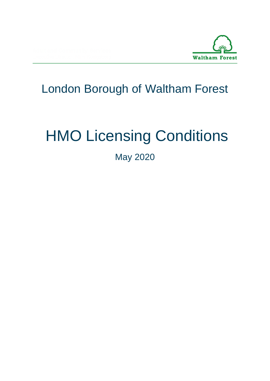

# London Borough of Waltham Forest

# HMO Licensing Conditions

May 2020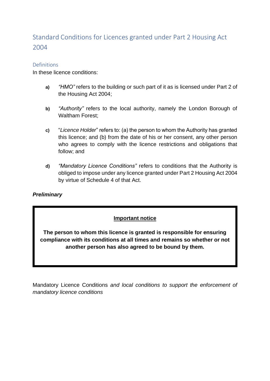# Standard Conditions for Licences granted under Part 2 Housing Act 2004

#### Definitions

In these licence conditions:

- **a)** *"HMO"* refers to the building or such part of it as is licensed under Part 2 of the Housing Act 2004;
- **b)** *"Authority"* refers to the local authority, namely the London Borough of Waltham Forest;
- **c)** "*Licence Holder*" refers to: (a) the person to whom the Authority has granted this licence; and (b) from the date of his or her consent, any other person who agrees to comply with the licence restrictions and obligations that follow; and
- **d)** *"Mandatory Licence Conditions"* refers to conditions that the Authority is obliged to impose under any licence granted under Part 2 Housing Act 2004 by virtue of Schedule 4 of that Act.

#### *Preliminary*

#### **Important notice**

**The person to whom this licence is granted is responsible for ensuring compliance with its conditions at all times and remains so whether or not another person has also agreed to be bound by them.**

Mandatory Licence Conditions *and local conditions to support the enforcement of mandatory licence conditions*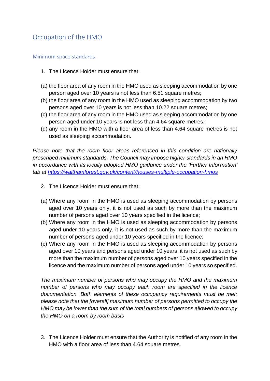# Occupation of the HMO

#### Minimum space standards

- 1. The Licence Holder must ensure that:
- (a) the floor area of any room in the HMO used as sleeping accommodation by one person aged over 10 years is not less than 6.51 square metres;
- (b) the floor area of any room in the HMO used as sleeping accommodation by two persons aged over 10 years is not less than 10.22 square metres;
- (c) the floor area of any room in the HMO used as sleeping accommodation by one person aged under 10 years is not less than 4.64 square metres;
- (d) any room in the HMO with a floor area of less than 4.64 square metres is not used as sleeping accommodation.

*Please note that the room floor areas referenced in this condition are nationally prescribed minimum standards. The Council may impose higher standards in an HMO in accordance with its locally adopted HMO guidance under the 'Further Information' tab at<https://walthamforest.gov.uk/content/houses-multiple-occupation-hmos>*

- 2. The Licence Holder must ensure that:
- (a) Where any room in the HMO is used as sleeping accommodation by persons aged over 10 years only, it is not used as such by more than the maximum number of persons aged over 10 years specified in the licence;
- (b) Where any room in the HMO is used as sleeping accommodation by persons aged under 10 years only, it is not used as such by more than the maximum number of persons aged under 10 years specified in the licence;
- (c) Where any room in the HMO is used as sleeping accommodation by persons aged over 10 years and persons aged under 10 years, it is not used as such by more than the maximum number of persons aged over 10 years specified in the licence and the maximum number of persons aged under 10 years so specified.

*The maximum number of persons who may occupy the HMO and the maximum number of persons who may occupy each room are specified in the licence documentation. Both elements of these occupancy requirements must be met; please note that the [overall] maximum number of persons permitted to occupy the HMO may be lower than the sum of the total numbers of persons allowed to occupy the HMO on a room by room basis*

3. The Licence Holder must ensure that the Authority is notified of any room in the HMO with a floor area of less than 4.64 square metres.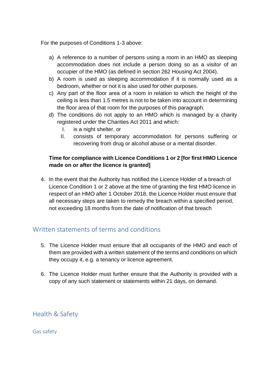For the purposes of Conditions 1-3 above:

- a) A reference to a number of persons using a room in an HMO as sleeping accommodation does not include a person doing so as a visitor of an occupier of the HMO (as defined in section 262 Housing Act 2004).
- b) A room is used as sleeping accommodation if it is normally used as a bedroom, whether or not it is also used for other purposes.
- c) Any part of the floor area of a room in relation to which the height of the ceiling is less than 1.5 metres is not to be taken into account in determining the floor area of that room for the purposes of this paragraph.
- d) The conditions do not apply to an HMO which is managed by a charity registered under the Charities Act 2011 and which:
	- I. is a night shelter, or
	- II. consists of temporary accommodation for persons suffering or recovering from drug or alcohol abuse or a mental disorder.

#### **Time for compliance with Licence Conditions 1 or 2 [for first HMO Licence made on or after the licence is granted]**

4. In the event that the Authority has notified the Licence Holder of a breach of Licence Condition 1 or 2 above at the time of granting the first HMO licence in respect of an HMO after 1 October 2018, the Licence Holder must ensure that all necessary steps are taken to remedy the breach within a specified period, not exceeding 18 months from the date of notification of that breach

# Written statements of terms and conditions

- 5. The Licence Holder must ensure that all occupants of the HMO and each of them are provided with a written statement of the terms and conditions on which they occupy it, e.g. a tenancy or licence agreement.
- 6. The Licence Holder must further ensure that the Authority is provided with a copy of any such statement or statements within 21 days, on demand.

Health & Safety

Gas safety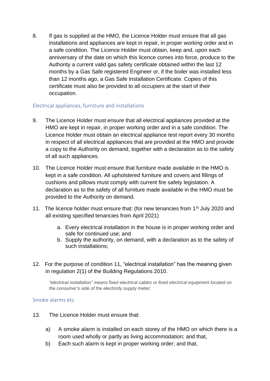8. If gas is supplied at the HMO, the Licence Holder must ensure that all gas installations and appliances are kept in repair, in proper working order and in a safe condition. The Licence Holder must obtain, keep and, upon each anniversary of the date on which this licence comes into force, produce to the Authority a current valid gas safety certificate obtained within the last 12 months by a Gas Safe registered Engineer or, if the boiler was installed less than 12 months ago, a Gas Safe Installation Certificate. Copies of this certificate must also be provided to all occupiers at the start of their occupation.

#### Electrical appliances, furniture and installations

- 9. The Licence Holder must ensure that all electrical appliances provided at the HMO are kept in repair, in proper working order and in a safe condition. The Licence Holder must obtain an electrical appliance test report every 30 months in respect of all electrical appliances that are provided at the HMO and provide a copy to the Authority on demand, together with a declaration as to the safety of all such appliances.
- 10. The Licence Holder must ensure that furniture made available in the HMO is kept in a safe condition. All upholstered furniture and covers and fillings of cushions and pillows must comply with current fire safety legislation. A declaration as to the safety of all furniture made available in the HMO must be provided to the Authority on demand.
- 11. The licence holder must ensure that: (for new tenancies from 1<sup>st</sup> July 2020 and all existing specified tenancies from April 2021)
	- a. Every electrical installation in the house is in proper working order and safe for continued use; and
	- b. Supply the authority, on demand, with a declaration as to the safety of such installations;
- 12. For the purpose of condition 11, "electrical installation" has the meaning given in regulation 2(1) of the Building Regulations 2010.

*"electrical installation" means fixed electrical cables or fixed electrical equipment located on the consumer's side of the electricity supply meter;*

#### Smoke alarms etc

- 13. The Licence Holder must ensure that:
	- a) A smoke alarm is installed on each storey of the HMO on which there is a room used wholly or partly as living accommodation; and that,
	- b) Each such alarm is kept in proper working order; and that,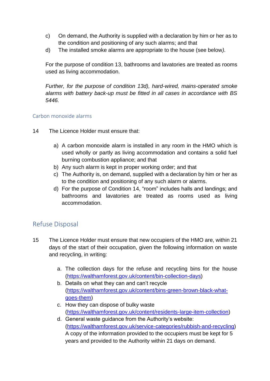- c) On demand, the Authority is supplied with a declaration by him or her as to the condition and positioning of any such alarms; and that
- d) The installed smoke alarms are appropriate to the house (see below*).*

For the purpose of condition 13, bathrooms and lavatories are treated as rooms used as living accommodation.

*Further, for the purpose of condition 13d), hard-wired, mains-operated smoke alarms with battery back-up must be fitted in all cases in accordance with BS 5446.*

#### Carbon monoxide alarms

- 14 The Licence Holder must ensure that:
	- a) A carbon monoxide alarm is installed in any room in the HMO which is used wholly or partly as living accommodation and contains a solid fuel burning combustion appliance; and that
	- b) Any such alarm is kept in proper working order; and that
	- c) The Authority is, on demand, supplied with a declaration by him or her as to the condition and positioning of any such alarm or alarms.
	- d) For the purpose of Condition 14, "room" includes halls and landings; and bathrooms and lavatories are treated as rooms used as living accommodation.

# Refuse Disposal

- 15 The Licence Holder must ensure that new occupiers of the HMO are, within 21 days of the start of their occupation, given the following information on waste and recycling, in writing:
	- a. The collection days for the refuse and recycling bins for the house [\(https://walthamforest.gov.uk/content/bin-collection-days\)](https://walthamforest.gov.uk/content/bin-collection-days)
	- b. Details on what they can and can't recycle [\(https://walthamforest.gov.uk/content/bins-green-brown-black-what](https://walthamforest.gov.uk/content/bins-green-brown-black-what-goes-them)[goes-them\)](https://walthamforest.gov.uk/content/bins-green-brown-black-what-goes-them)
	- c. How they can dispose of bulky waste [\(https://walthamforest.gov.uk/content/residents-large-item-collection\)](https://walthamforest.gov.uk/content/residents-large-item-collection)
	- d. General waste guidance from the Authority's website: [\(https://walthamforest.gov.uk/service-categories/rubbish-and-recycling\)](https://walthamforest.gov.uk/service-categories/rubbish-and-recycling) A copy of the information provided to the occupiers must be kept for 5 years and provided to the Authority within 21 days on demand.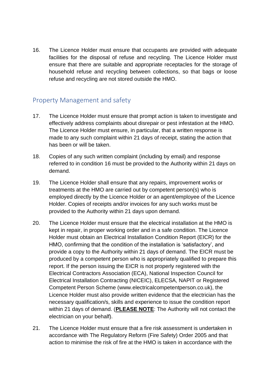16. The Licence Holder must ensure that occupants are provided with adequate facilities for the disposal of refuse and recycling. The Licence Holder must ensure that there are suitable and appropriate receptacles for the storage of household refuse and recycling between collections, so that bags or loose refuse and recycling are not stored outside the HMO.

# Property Management and safety

- 17. The Licence Holder must ensure that prompt action is taken to investigate and effectively address complaints about disrepair or pest infestation at the HMO. The Licence Holder must ensure, in particular, that a written response is made to any such complaint within 21 days of receipt, stating the action that has been or will be taken.
- 18. Copies of any such written complaint (including by email) and response referred to in condition 16 must be provided to the Authority within 21 days on demand.
- 19. The Licence Holder shall ensure that any repairs, improvement works or treatments at the HMO are carried out by competent person(s) who is employed directly by the Licence Holder or an agent/employee of the Licence Holder. Copies of receipts and/or invoices for any such works must be provided to the Authority within 21 days upon demand.
- 20. The Licence Holder must ensure that the electrical installation at the HMO is kept in repair, in proper working order and in a safe condition. The Licence Holder must obtain an Electrical Installation Condition Report (EICR) for the HMO, confirming that the condition of the installation is 'satisfactory', and provide a copy to the Authority within 21 days of demand. The EICR must be produced by a competent person who is appropriately qualified to prepare this report. If the person issuing the EICR is not properly registered with the Electrical Contractors Association (ECA), National Inspection Council for Electrical Installation Contracting (NICEIC), ELECSA, NAPIT or Registered Competent Person Scheme (www.electricalcompetentperson.co.uk), the Licence Holder must also provide written evidence that the electrician has the necessary qualification/s, skills and experience to issue the condition report within 21 days of demand. (**PLEASE NOTE**: The Authority will not contact the electrician on your behalf).
- 21. The Licence Holder must ensure that a fire risk assessment is undertaken in accordance with The Regulatory Reform (Fire Safety) Order 2005 and that action to minimise the risk of fire at the HMO is taken in accordance with the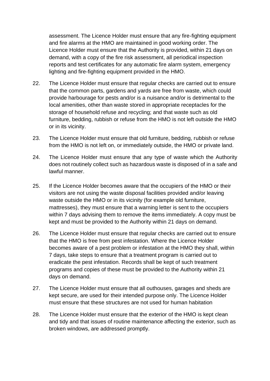assessment. The Licence Holder must ensure that any fire-fighting equipment and fire alarms at the HMO are maintained in good working order. The Licence Holder must ensure that the Authority is provided, within 21 days on demand, with a copy of the fire risk assessment, all periodical inspection reports and test certificates for any automatic fire alarm system, emergency lighting and fire-fighting equipment provided in the HMO.

- 22. The Licence Holder must ensure that regular checks are carried out to ensure that the common parts, gardens and yards are free from waste, which could provide harbourage for pests and/or is a nuisance and/or is detrimental to the local amenities, other than waste stored in appropriate receptacles for the storage of household refuse and recycling; and that waste such as old furniture, bedding, rubbish or refuse from the HMO is not left outside the HMO or in its vicinity.
- 23. The Licence Holder must ensure that old furniture, bedding, rubbish or refuse from the HMO is not left on, or immediately outside, the HMO or private land.
- 24. The Licence Holder must ensure that any type of waste which the Authority does not routinely collect such as hazardous waste is disposed of in a safe and lawful manner.
- 25. If the Licence Holder becomes aware that the occupiers of the HMO or their visitors are not using the waste disposal facilities provided and/or leaving waste outside the HMO or in its vicinity (for example old furniture, mattresses), they must ensure that a warning letter is sent to the occupiers within 7 days advising them to remove the items immediately. A copy must be kept and must be provided to the Authority within 21 days on demand.
- 26. The Licence Holder must ensure that regular checks are carried out to ensure that the HMO is free from pest infestation. Where the Licence Holder becomes aware of a pest problem or infestation at the HMO they shall, within 7 days, take steps to ensure that a treatment program is carried out to eradicate the pest infestation. Records shall be kept of such treatment programs and copies of these must be provided to the Authority within 21 days on demand.
- 27. The Licence Holder must ensure that all outhouses, garages and sheds are kept secure, are used for their intended purpose only. The Licence Holder must ensure that these structures are not used for human habitation
- 28. The Licence Holder must ensure that the exterior of the HMO is kept clean and tidy and that issues of routine maintenance affecting the exterior, such as broken windows, are addressed promptly.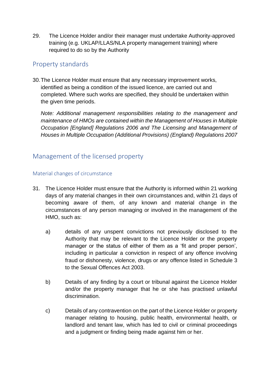29. The Licence Holder and/or their manager must undertake Authority-approved training (e.g. UKLAP/LLAS/NLA property management training) where required to do so by the Authority

#### Property standards

30.The Licence Holder must ensure that any necessary improvement works, identified as being a condition of the issued licence, are carried out and completed. Where such works are specified, they should be undertaken within the given time periods.

*Note: Additional management responsibilities relating to the management and maintenance of HMOs are contained within the Management of Houses in Multiple Occupation [England] Regulations 2006 and The Licensing and Management of Houses in Multiple Occupation (Additional Provisions) (England) Regulations 2007*

# Management of the licensed property

#### Material changes of circumstance

- 31. The Licence Holder must ensure that the Authority is informed within 21 working days of any material changes in their own circumstances and, within 21 days of becoming aware of them, of any known and material change in the circumstances of any person managing or involved in the management of the HMO, such as:
	- a) details of any unspent convictions not previously disclosed to the Authority that may be relevant to the Licence Holder or the property manager or the status of either of them as a 'fit and proper person', including in particular a conviction in respect of any offence involving fraud or dishonesty, violence, drugs or any offence listed in Schedule 3 to the Sexual Offences Act 2003.
	- b) Details of any finding by a court or tribunal against the Licence Holder and/or the property manager that he or she has practised unlawful discrimination.
	- c) Details of any contravention on the part of the Licence Holder or property manager relating to housing, public health, environmental health, or landlord and tenant law, which has led to civil or criminal proceedings and a judgment or finding being made against him or her.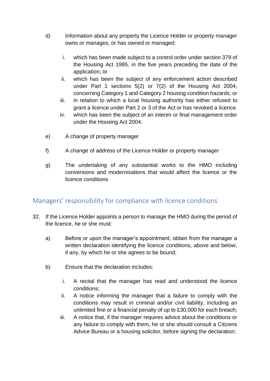- d) Information about any property the Licence Holder or property manager owns or manages, or has owned or managed:
	- i. which has been made subject to a control order under section 379 of the Housing Act 1985, in the five years preceding the date of the application; or
	- ii. which has been the subject of any enforcement action described under Part 1 sections 5(2) or 7(2) of the Housing Act 2004, concerning Category 1 and Category 2 housing condition hazards; or
	- iii. in relation to which a local housing authority has either refused to grant a licence under Part 2 or 3 of the Act or has revoked a licence.
	- iv. which has been the subject of an interim or final management order under the Housing Act 2004.
- e) A change of property manager
- f) A change of address of the Licence Holder or property manager
- g) The undertaking of any substantial works to the HMO including conversions and modernisations that would affect the licence or the licence conditions

# Managers' responsibility for compliance with licence conditions

- 32. If the Licence Holder appoints a person to manage the HMO during the period of the licence, he or she must:
	- a) Before or upon the manager's appointment, obtain from the manager a written declaration identifying the licence conditions, above and below, if any, by which he or she agrees to be bound;
	- b) Ensure that the declaration includes:
		- i. A recital that the manager has read and understood the licence conditions;
		- ii. A notice informing the manager that a failure to comply with the conditions may result in criminal and/or civil liability, including an unlimited fine or a financial penalty of up to £30,000 for each breach;
		- iii. A notice that, if the manager requires advice about the conditions or any failure to comply with them, he or she should consult a Citizens Advice Bureau or a housing solicitor, before signing the declaration;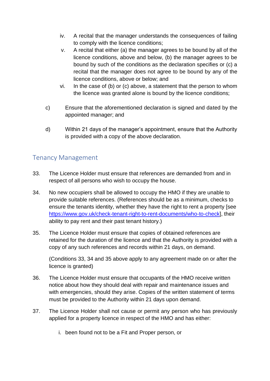- iv. A recital that the manager understands the consequences of failing to comply with the licence conditions;
- v. A recital that either (a) the manager agrees to be bound by all of the licence conditions, above and below, (b) the manager agrees to be bound by such of the conditions as the declaration specifies or (c) a recital that the manager does not agree to be bound by any of the licence conditions, above or below; and
- vi. In the case of (b) or (c) above, a statement that the person to whom the licence was granted alone is bound by the licence conditions;
- c) Ensure that the aforementioned declaration is signed and dated by the appointed manager; and
- d) Within 21 days of the manager's appointment, ensure that the Authority is provided with a copy of the above declaration.

# Tenancy Management

- 33. The Licence Holder must ensure that references are demanded from and in respect of all persons who wish to occupy the house.
- 34. No new occupiers shall be allowed to occupy the HMO if they are unable to provide suitable references. (References should be as a minimum, checks to ensure the tenants identity, whether they have the right to rent a property [see [https://www.gov.uk/check-tenant-right-to-rent-documents/who-to-check\]](https://www.gov.uk/check-tenant-right-to-rent-documents/who-to-check), their ability to pay rent and their past tenant history.)
- 35. The Licence Holder must ensure that copies of obtained references are retained for the duration of the licence and that the Authority is provided with a copy of any such references and records within 21 days, on demand.

(Conditions 33, 34 and 35 above apply to any agreement made on or after the licence is granted)

- 36. The Licence Holder must ensure that occupants of the HMO receive written notice about how they should deal with repair and maintenance issues and with emergencies, should they arise. Copies of the written statement of terms must be provided to the Authority within 21 days upon demand.
- 37. The Licence Holder shall not cause or permit any person who has previously applied for a property licence in respect of the HMO and has either:
	- i. been found not to be a Fit and Proper person, or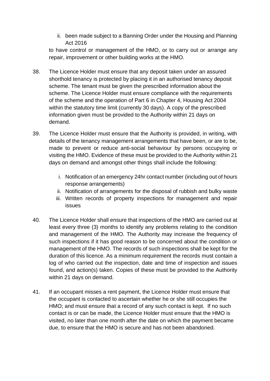ii. been made subject to a Banning Order under the Housing and Planning Act 2016

to have control or management of the HMO, or to carry out or arrange any repair, improvement or other building works at the HMO.

- 38. The Licence Holder must ensure that any deposit taken under an assured shorthold tenancy is protected by placing it in an authorised tenancy deposit scheme. The tenant must be given the prescribed information about the scheme. The Licence Holder must ensure compliance with the requirements of the scheme and the operation of Part 6 in Chapter 4, Housing Act 2004 within the statutory time limit (currently 30 days). A copy of the prescribed information given must be provided to the Authority within 21 days on demand.
- 39. The Licence Holder must ensure that the Authority is provided, in writing, with details of the tenancy management arrangements that have been, or are to be, made to prevent or reduce anti-social behaviour by persons occupying or visiting the HMO. Evidence of these must be provided to the Authority within 21 days on demand and amongst other things shall include the following:
	- i. Notification of an emergency 24hr contact number (including out of hours response arrangements)
	- ii. Notification of arrangements for the disposal of rubbish and bulky waste
	- iii. Written records of property inspections for management and repair issues
- 40. The Licence Holder shall ensure that inspections of the HMO are carried out at least every three (3) months to identify any problems relating to the condition and management of the HMO. The Authority may increase the frequency of such inspections if it has good reason to be concerned about the condition or management of the HMO. The records of such inspections shall be kept for the duration of this licence. As a minimum requirement the records must contain a log of who carried out the inspection, date and time of inspection and issues found, and action(s) taken. Copies of these must be provided to the Authority within 21 days on demand.
- 41. If an occupant misses a rent payment, the Licence Holder must ensure that the occupant is contacted to ascertain whether he or she still occupies the HMO; and must ensure that a record of any such contact is kept. If no such contact is or can be made, the Licence Holder must ensure that the HMO is visited, no later than one month after the date on which the payment became due, to ensure that the HMO is secure and has not been abandoned.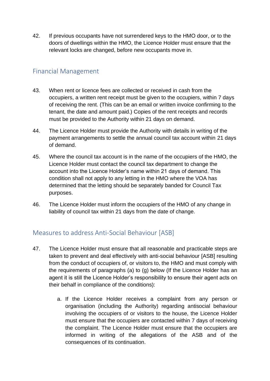42. If previous occupants have not surrendered keys to the HMO door, or to the doors of dwellings within the HMO, the Licence Holder must ensure that the relevant locks are changed, before new occupants move in.

#### Financial Management

- 43. When rent or licence fees are collected or received in cash from the occupiers, a written rent receipt must be given to the occupiers, within 7 days of receiving the rent. (This can be an email or written invoice confirming to the tenant, the date and amount paid.) Copies of the rent receipts and records must be provided to the Authority within 21 days on demand.
- 44. The Licence Holder must provide the Authority with details in writing of the payment arrangements to settle the annual council tax account within 21 days of demand.
- 45. Where the council tax account is in the name of the occupiers of the HMO, the Licence Holder must contact the council tax department to change the account into the Licence Holder's name within 21 days of demand. This condition shall not apply to any letting in the HMO where the VOA has determined that the letting should be separately banded for Council Tax purposes.
- 46. The Licence Holder must inform the occupiers of the HMO of any change in liability of council tax within 21 days from the date of change.

# Measures to address Anti-Social Behaviour [ASB]

- 47. The Licence Holder must ensure that all reasonable and practicable steps are taken to prevent and deal effectively with anti-social behaviour [ASB] resulting from the conduct of occupiers of, or visitors to, the HMO and must comply with the requirements of paragraphs (a) to (g) below (If the Licence Holder has an agent it is still the Licence Holder's responsibility to ensure their agent acts on their behalf in compliance of the conditions):
	- a. If the Licence Holder receives a complaint from any person or organisation (including the Authority) regarding antisocial behaviour involving the occupiers of or visitors to the house, the Licence Holder must ensure that the occupiers are contacted within 7 days of receiving the complaint. The Licence Holder must ensure that the occupiers are informed in writing of the allegations of the ASB and of the consequences of its continuation.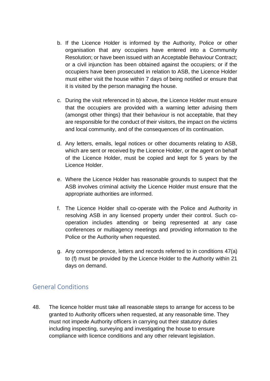- b. If the Licence Holder is informed by the Authority, Police or other organisation that any occupiers have entered into a Community Resolution; or have been issued with an Acceptable Behaviour Contract; or a civil injunction has been obtained against the occupiers; or if the occupiers have been prosecuted in relation to ASB, the Licence Holder must either visit the house within 7 days of being notified or ensure that it is visited by the person managing the house.
- c. During the visit referenced in b) above, the Licence Holder must ensure that the occupiers are provided with a warning letter advising them (amongst other things) that their behaviour is not acceptable, that they are responsible for the conduct of their visitors, the impact on the victims and local community, and of the consequences of its continuation.
- d. Any letters, emails, legal notices or other documents relating to ASB, which are sent or received by the Licence Holder, or the agent on behalf of the Licence Holder, must be copied and kept for 5 years by the Licence Holder.
- e. Where the Licence Holder has reasonable grounds to suspect that the ASB involves criminal activity the Licence Holder must ensure that the appropriate authorities are informed.
- f. The Licence Holder shall co-operate with the Police and Authority in resolving ASB in any licensed property under their control. Such cooperation includes attending or being represented at any case conferences or multiagency meetings and providing information to the Police or the Authority when requested.
- g. Any correspondence, letters and records referred to in conditions 47(a) to (f) must be provided by the Licence Holder to the Authority within 21 days on demand.

# General Conditions

48. The licence holder must take all reasonable steps to arrange for access to be granted to Authority officers when requested, at any reasonable time. They must not impede Authority officers in carrying out their statutory duties including inspecting, surveying and investigating the house to ensure compliance with licence conditions and any other relevant legislation.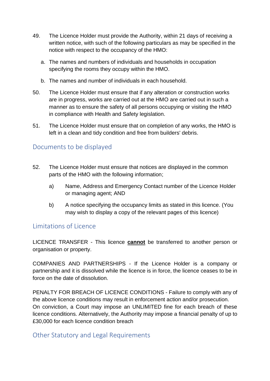- 49. The Licence Holder must provide the Authority, within 21 days of receiving a written notice, with such of the following particulars as may be specified in the notice with respect to the occupancy of the HMO:
	- a. The names and numbers of individuals and households in occupation specifying the rooms they occupy within the HMO.
	- b. The names and number of individuals in each household.
- 50. The Licence Holder must ensure that if any alteration or construction works are in progress, works are carried out at the HMO are carried out in such a manner as to ensure the safety of all persons occupying or visiting the HMO in compliance with Health and Safety legislation.
- 51. The Licence Holder must ensure that on completion of any works, the HMO is left in a clean and tidy condition and free from builders' debris.

# Documents to be displayed

- 52. The Licence Holder must ensure that notices are displayed in the common parts of the HMO with the following information;
	- a) Name, Address and Emergency Contact number of the Licence Holder or managing agent; AND
	- b) A notice specifying the occupancy limits as stated in this licence. (You may wish to display a copy of the relevant pages of this licence)

#### Limitations of Licence

LICENCE TRANSFER - This licence **cannot** be transferred to another person or organisation or property.

COMPANIES AND PARTNERSHIPS - If the Licence Holder is a company or partnership and it is dissolved while the licence is in force, the licence ceases to be in force on the date of dissolution.

PENALTY FOR BREACH OF LICENCE CONDITIONS - Failure to comply with any of the above licence conditions may result in enforcement action and/or prosecution. On conviction, a Court may impose an UNLIMITED fine for each breach of these licence conditions. Alternatively, the Authority may impose a financial penalty of up to £30,000 for each licence condition breach

# Other Statutory and Legal Requirements